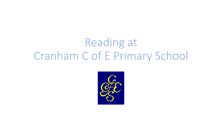# Reading at Cranham C of E Primary School

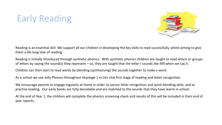### Early Reading



Reading is an essential skill. We support all our children in developing the key skills to read successfully, whilst aiming to give them a life long love of reading.

Reading is initially introduced through synthetic phonics. With synthetic phonics children are taught to read letters or groups of letters by saying the sound(s) they represent – so, they are taught that the letter l sounds like llllll when we say it.

Children can then start to read words by blending (synthesising) the sounds together to make a word.

As a school we use Jolly Phonics throughout Keystage 1 in this vital first stage of reading and letter recognition.

We encourage parents to engage regularly at home in order to secure letter recognition and word blending skills, and to practise reading. Our early books are fully decodable and are matched to the sounds that they have learnt in school.

At the end of Year 1, the children will complete the phonics screening check and results of this will be included in their end of year reports.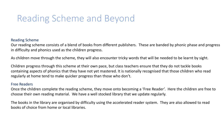### Reading Scheme and Beyond

#### Reading Scheme

Our reading scheme consists of a blend of books from different publishers. These are banded by phonic phase and progress in difficulty and phonics used as the children progress.

As children move through the scheme, they will also encounter tricky words that will be needed to be learnt by sight.

Children progress through this scheme at their own pace, but class teachers ensure that they do not tackle books containing aspects of phonics that they have not yet mastered. It is nationally recognised that those children who read regularly at home tend to make quicker progress than those who don't.

#### Free Readers

Once the children complete the reading scheme, they move onto becoming a 'Free Reader'. Here the children are free to choose their own reading material. We have a well stocked library that we update regularly.

The books in the library are organised by difficulty using the accelerated reader system. They are also allowed to read books of choice from home or local libraries.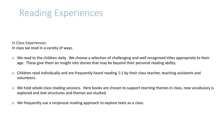### Reading Experiences

#### In Class Experiences

In class we read in a variety of ways.

- $\circ$  We read to the children daily. We choose a selection of challenging and well recognised titles appropriate to their age. These give them an insight into stories that may be beyond their personal reading ability.
- $\circ$  Children read individually and are frequently heard reading 1:1 by their class teacher, teaching assistants and volunteers.
- o We hold whole class reading sessions. Here books are chosen to support learning themes in class, new vocabulary is explored and text structures and themes are studied.
- o We frequently use a reciprocal reading approach to explore texts as a class.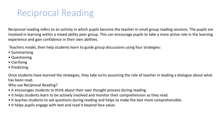### Reciprocal Reading

Reciprocal reading refers to an activity in which pupils become the teacher in small group reading sessions. The pupils are involved in learning within a mixed ability peer group. This can encourage pupils to take a more active role in the learning experience and gain confidence in their own abilities.

Teachers model, then help students learn to guide group discussions using four strategies:

- Summarising
- Questioning
- Clarifying
- Predicting

Once students have learned the strategies, they take turns assuming the role of teacher in leading a dialogue about what has been read.

Why use Reciprocal Reading?

- It encourages students to think about their own thought process during reading.
- It helps students learn to be actively involved and monitor their comprehension as they read.
- It teaches students to ask questions during reading and helps to make the text more comprehensible.
- It helps pupils engage with text and read it beyond face value.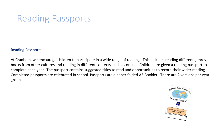### Reading Passports

#### Reading Passports

At Cranham, we encourage children to participate in a wide range of reading. This includes reading different genres, books from other cultures and reading in different contexts, such as online. Children are given a reading passport to complete each year. The passport contains suggested titles to read and opportunities to record their wider reading. Completed passports are celebrated in school. Passports are a paper folded A5 Booklet. There are 2 versions per year group.

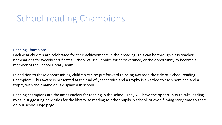### School reading Champions

#### Reading Champions

Each year children are celebrated for their achievements in their reading. This can be through class teacher nominations for weekly certificates, School Values Pebbles for perseverance, or the opportunity to become a member of the School Library Team.

In addition to these opportunities, children can be put forward to being awarded the title of 'School reading Champion'. This award is presented at the end of year service and a trophy is awarded to each nominee and a trophy with their name on is displayed in school.

Reading champions are the ambassadors for reading in the school. They will have the opportunity to take leading roles in suggesting new titles for the library, to reading to other pupils in school, or even filming story time to share on our school Dojo page.